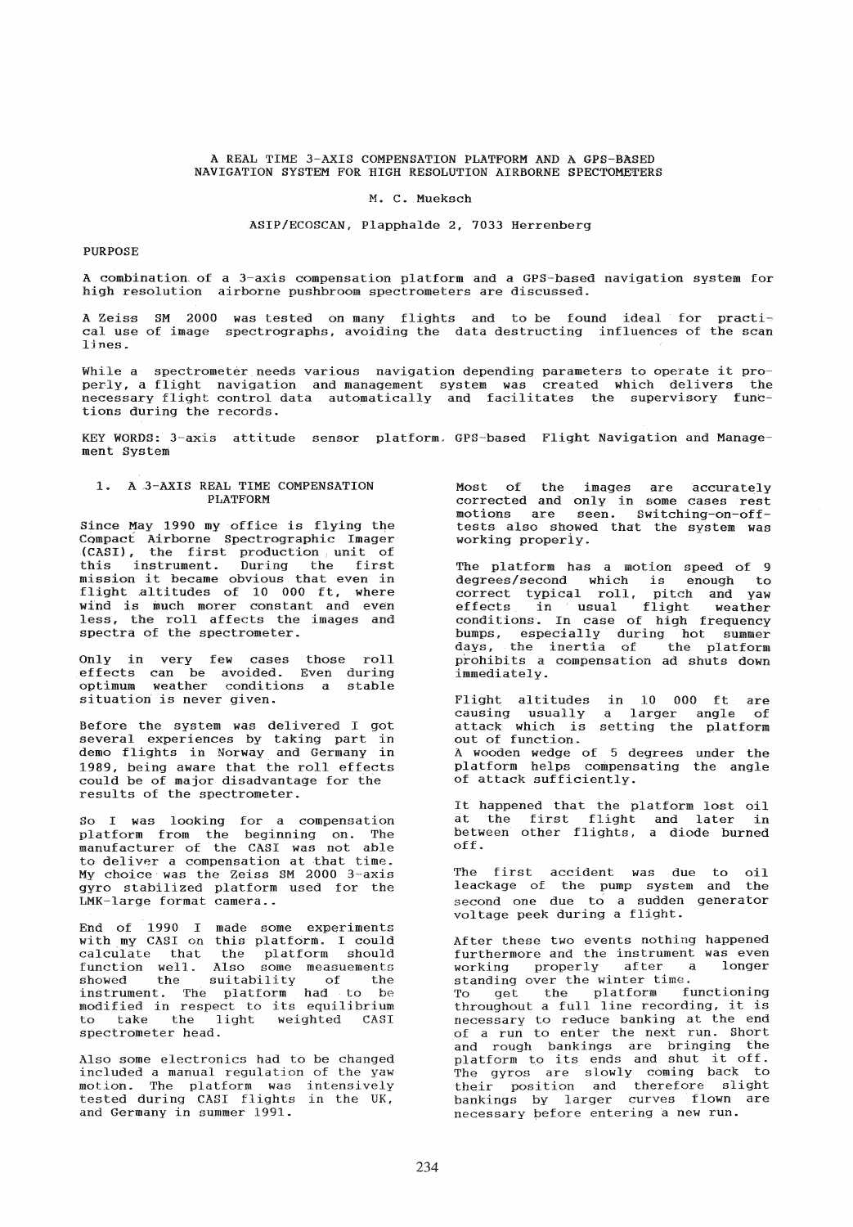#### A REAL TIME 3-AXIS COMPENSATION PLATFORM AND A GPS-BASED NAVIGATION SYSTEM FOR HIGH RESOLUTION AIRBORNE SPECTOMETERS

#### M. C. Mueksch

### ASIP/ECOSCAN, Plapphalde 2, 7033 Herrenberg

# **PURPOSE**

A combination, of a 3-axis compensation platform and a GPS-based navigation system for high resolution airborne pushbroom spectrometers are discussed.

A Zeise SM 2000 was tested on many flights and to be found ideal for practi~ cal use of image spectrographs, avoiding the data destructing influences of the scan lines.

While a spectrometer needs various navigation depending parameters to operate it properly, a flight navigation and management system was created which delivers the peri<sub>7</sub>, a riight navigation and management system was created which defines the<br>necessary flight control data automatically and facilitates the supervisory functions during the records.

KEY WORDS: 3-axis attitude sensor platform. GPS-based Flight Navigation and Management System

## 1. A 3-AXIS REAL TIME COMPENSATION PLATFORM

Since  $\tt{May}$  1990 my office is flying the CQmpact Airborne Spectrographic Imager (CASI), the first production unit of this instrument. During the first mission it became obvious that even in flight altitudes of 10 000 ft, where wind is much morer constant and even less, the roll affects the images and spectra of the spectrometer.

Only in very few cases those roll effects can be avoided. Even during optimum weather conditions a stable situation is never given.

Before the system was delivered I got several experiences by taking part in demo flights in Norway and Germany in 1989, being aware that the roll effects could be of major disadvantage for the results of the spectrometer.

So I was looking for a compensation platform from the beginning on. The manufacturer of the CASI was not able to deliver a compensation at that time. My choice was the Zeiss SM 2000 3-axis gyro stabilized platform used for the LMK-large format camera ..

End of 1990 I made some experiments with my CASI on this platform. I could example in the platform should calculate that the platform should<br>function well. Also some measuements showed the suitability of the instrument. The platform had to be modified in respect to its equilibrium<br>to take the light weighted CASI take the light weighted CASI spectrometer head.

Also some electronics had to be changed included a manual regulation of the yaw motion. The platform was intensively tested during CASI flights in the UK, and Germany in summer 1991.

Most of the images are accurately corrected and only in some cases rest<br>motions are seen. Switching-on-offseen. Switching-on-offtests also showed that the system was working properiy.

The platform has a motion speed of 9<br>degrees/second which is enough to degrees/second which is enough to correct typical roll, pitch and yaw effects in usual flight weather effects in usual flight weather<br>conditions. In case of high frequency bumps, especially during hot summer days, the inertia of the platform prohibits a eompensation ad shuts down immediately.

Flight altitudes causing usually attack whieh is out of function. in 10 000 ft are<br>a larger angle of setting the platform A wooden wedge of 5 degrees platform helps eompensating of attack sufficiently. under the the angle

It happened that the platform lost oil at the first flight and later in between other flights, a diode burned off.

The first accident was due to oil leackage of the pump system and the second one due to a sudden generator voltage peek during a flight.

After these two events nothing happened furthermore and the instrument was even working properly after a longer working properly after a<br>standing over the winter time. To get the platform functioning<br>throughout a full line recording, it is necessary to reduce banking at the end of a run to enter the next run. Short and rough bankings are bringing the platform to its ends and shut it off. The gyros are slowly coming back to their position and therefore slight bankings by larger eurves flown are necessary before entering a new run.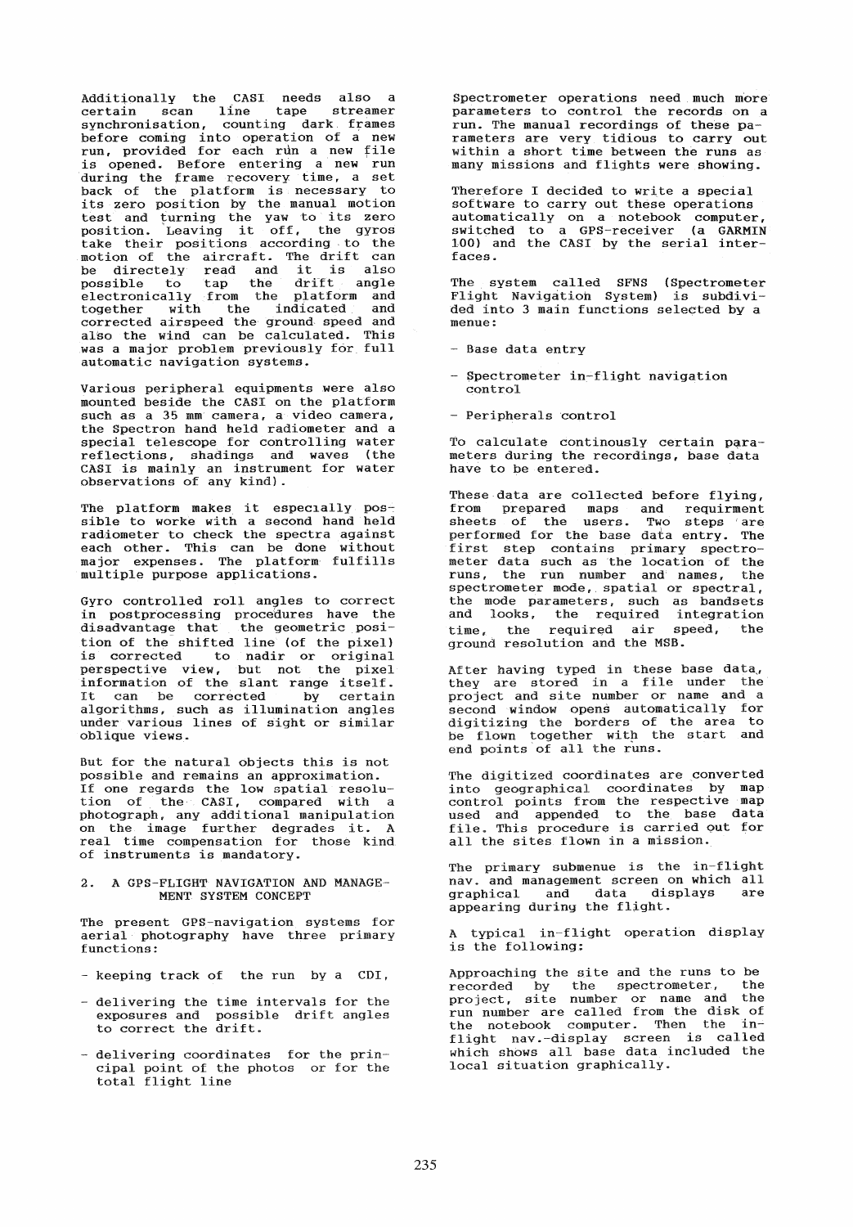Additionally the CASI needs also a<br>certain scan line tape streamer<br>synchronisation, counting dark frames synchronisation, counting dark. frames before coming into operation of a new run, provided for each run a new file is opened. Before entering a new run during the frame recovery time, a set back of the platform is necessary to back of the practician is necessary to test and turning the yaw to its zero position. Leaving it off, the gyros take their positions according to the<br>motion of the aircraft. The drift can exame their positions according to the<br>motion of the aircraft. The drift can<br>be directely read and it is also possible to tap the drift angle electronically from the platform and together with the indicated and corrected airspeed the ground speed and<br>also the wind can be calculated. This was a major problem previously for full automatie navigation systems.

Various peripheral equipments were also mounted beside the CASI on the platform such as a 35 mm camera, a video camera,<br>the Spectron hand held radiometer and a special telescope for controlling water reflections, shadings and waves (the CASI is mainly an instrument for water observations of any kind).

The platform makes it especially possible to worke with a second hand held radiometer to check the spectra against each other. This can be done without major expenses. The platform' fulfills multiple purpose applications.

Gyro controlled roll angles to correct in postprocessing procedures have the disadvantage that the geometrie position of the shifted line (of the pixel) is corrected to nadir or original perspective view, but not the pixel<br>information of the slant range itself. Information of the siant range ruseff.<br>It can be corrected by certain It can be corrected by certain<br>algorithms, such as illumination angles under various lines of sight or similar oblique views.

But for the natural objects this is not possible and remains an approximation. If one regards the low spatial resolu-<br>tion of the CASI, compared with a tion of the CASI, compared with a photograph, any additional manipulation<br>photograph, any additional manipulation<br>on the image further degrades it. A en one image further degrades for in of instruments is mandatory.

## 2. A GPS-FLIGHT NAVIGATION AND MANAGE-MENT SYSTEM CONCEPT

The present GPS-navigation systems for aerial photography have three primary functions:

- keeping track of the run by a CDI,
- delivering the time intervals for the exposures and possible drift angles to correct the drift.
- delivering coordinates for the principal point of the photos or for the total flight line

Spectrometer operations need much more parameters to control the records on a run. The manual recordings of these parameters are very tidious to carry out within a short time between the runs as many missions and flights were showing.

Therefore I decided to write a special software to carry out these operations automatically on a notebook computer, switched to a GPS-receiver (a GARMIN 100) and the CASI by the serial interfaces.

The system called SFNS (Spectrometer Flight Navigatioh System) is subdivided into 3 main functions selected by a menue:

- Base data entry
- Spectrometer in-flight navigation control
- Peripherals control

To calculate continously certain parameters during the recordings, base data have to be entered.

These data are collected before flying, from prepared maps and requirment sheets of the users. Two steps are performed for the base data entry. The performed for the base data entry. The<br>first step contains primary spectrometer data such as the location of the runs, the run number and names, the spectrometer mode,. spatial or spectral, the mode parameters, such as bandsets and looks, the required integration time, the required air speed, the ground resolution and the MSB.

After having typed in these base data, they are stored in a file under the project and site number or name and a second window opens automatically for second window opens automatically for<br>digitizing the borders of the area to be flown together with the start and be from together with the

The digitized coordinates are converted into geographical coordinates by map control points from the respective map used and appended to the base data file. This procedure is carried out for all the sites flown in a mission.

The primary submenue is the in-flight nav. and management screen on which all<br>
oranbical and data displays are graphical and data displays appearing during the flight.

A typical in-flight operation display is the following:

Approaching the site and the runs to be recorded by the spectrometer, the project, site number or name and the run number are called from the disk of the notebook computer. Then the inflight nav.-display screen is called which shows all base data included the local situation graphically.